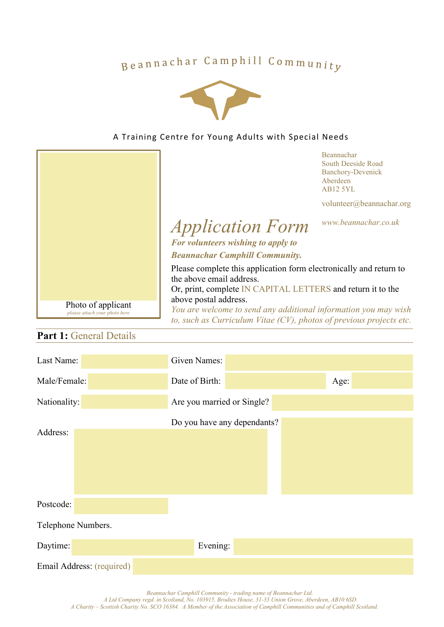# Beannachar Camphill Community



### A Training Centre for Young Adults with Special Needs



## **Part 1: General Details**

| Last Name:                | <b>Given Names:</b>         |  |  |  |  |
|---------------------------|-----------------------------|--|--|--|--|
| Male/Female:              | Date of Birth:<br>Age:      |  |  |  |  |
| Nationality:              | Are you married or Single?  |  |  |  |  |
| Address:                  | Do you have any dependants? |  |  |  |  |
| Postcode:                 |                             |  |  |  |  |
| Telephone Numbers.        |                             |  |  |  |  |
| Daytime:                  | Evening:                    |  |  |  |  |
| Email Address: (required) |                             |  |  |  |  |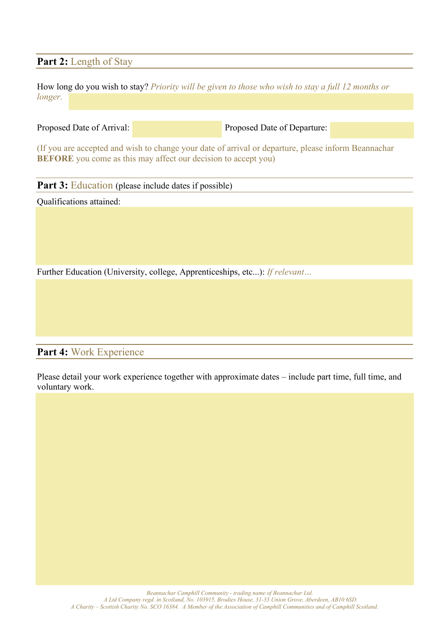## Part 2: Length of Stay

How long do you wish to stay? *Priority will be given to those who wish to stay a full 12 months or longer.*

Proposed Date of Arrival: Proposed Date of Departure:

(If you are accepted and wish to change your date of arrival or departure, please inform Beannachar **BEFORE** you come as this may affect our decision to accept you)

**Part 3:** Education (please include dates if possible)

Qualifications attained:

Further Education (University, college, Apprenticeships, etc...): *If relevant…*

**Part 4:** Work Experience

Please detail your work experience together with approximate dates – include part time, full time, and voluntary work.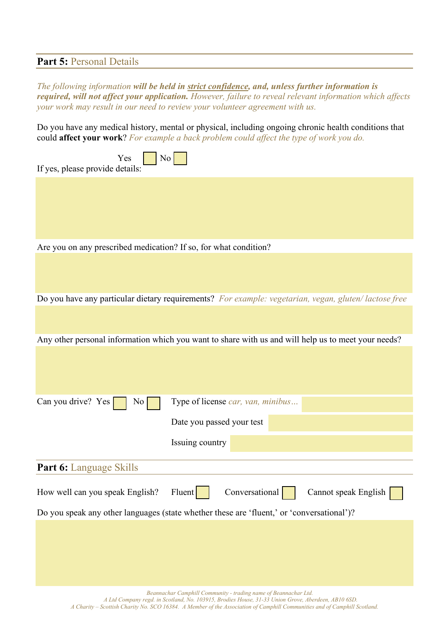## **Part 5:** Personal Details

*The following information will be held in strict confidence, and, unless further information is required, will not affect your application. However, failure to reveal relevant information which affects your work may result in our need to review your volunteer agreement with us.* 

Do you have any medical history, mental or physical, including ongoing chronic health conditions that could **affect your work**? *For example a back problem could affect the type of work you do.*

|                                                                                           | <b>Could affect your work</b> ? For example a back problem could affect the type of work you ao.     |  |  |  |
|-------------------------------------------------------------------------------------------|------------------------------------------------------------------------------------------------------|--|--|--|
| If yes, please provide details:                                                           | $\overline{N_{0}}$<br>Yes                                                                            |  |  |  |
|                                                                                           |                                                                                                      |  |  |  |
|                                                                                           | Are you on any prescribed medication? If so, for what condition?                                     |  |  |  |
|                                                                                           | Do you have any particular dietary requirements? For example: vegetarian, vegan, gluten/lactose free |  |  |  |
|                                                                                           | Any other personal information which you want to share with us and will help us to meet your needs?  |  |  |  |
| Can you drive? Yes                                                                        | Type of license car, van, minibus<br>No                                                              |  |  |  |
|                                                                                           | Date you passed your test                                                                            |  |  |  |
|                                                                                           | Issuing country                                                                                      |  |  |  |
| <b>Part 6: Language Skills</b>                                                            |                                                                                                      |  |  |  |
| How well can you speak English?                                                           | Fluent<br>Conversational<br>Cannot speak English                                                     |  |  |  |
| Do you speak any other languages (state whether these are 'fluent,' or 'conversational')? |                                                                                                      |  |  |  |
|                                                                                           |                                                                                                      |  |  |  |
|                                                                                           | Beannachar Camphill Community - trading name of Beannachar Ltd.                                      |  |  |  |

*A Ltd Company regd. in Scotland, No. 103915, Brodies House, 31-33 Union Grove, Aberdeen, AB10 6SD. A Charity – Scottish Charity No. SCO 16384. A Member of the Association of Camphill Communities and of Camphill Scotland.*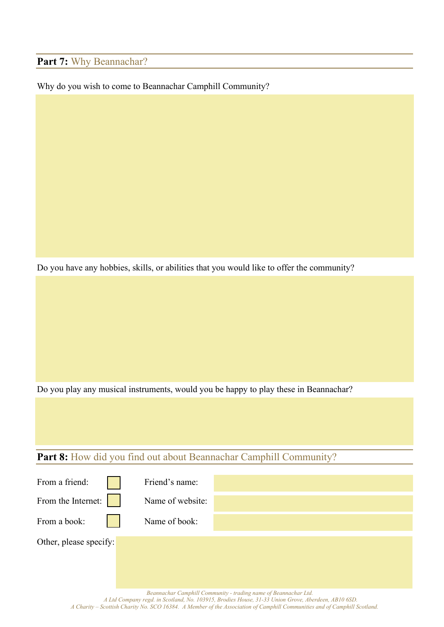## Part 7: Why Beannachar?

#### Why do you wish to come to Beannachar Camphill Community?

Do you have any hobbies, skills, or abilities that you would like to offer the community?

Do you play any musical instruments, would you be happy to play these in Beannachar?

## Part 8: How did you find out about Beannachar Camphill Community?

| From a friend:         | Friend's name:   |                                                                 |
|------------------------|------------------|-----------------------------------------------------------------|
| From the Internet:     | Name of website: |                                                                 |
| From a book:           | Name of book:    |                                                                 |
| Other, please specify: |                  |                                                                 |
|                        |                  | Beannachar Camphill Community - trading name of Beannachar Ltd. |
|                        |                  |                                                                 |

*A Ltd Company regd. in Scotland, No. 103915, Brodies House, 31-33 Union Grove, Aberdeen, AB10 6SD. A Charity – Scottish Charity No. SCO 16384. A Member of the Association of Camphill Communities and of Camphill Scotland.*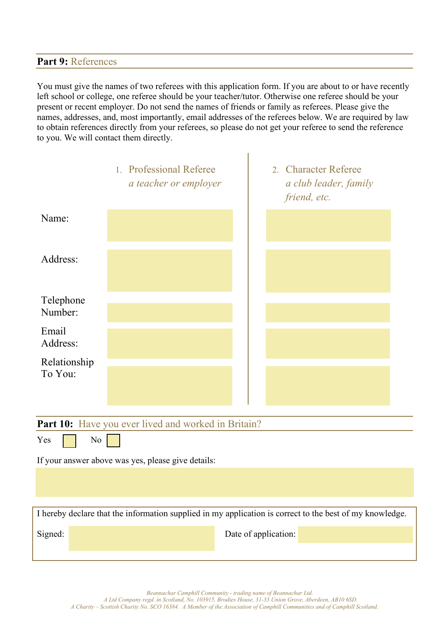#### **Part 9:** References

You must give the names of two referees with this application form. If you are about to or have recently left school or college, one referee should be your teacher/tutor. Otherwise one referee should be your present or recent employer. Do not send the names of friends or family as referees. Please give the names, addresses, and, most importantly, email addresses of the referees below. We are required by law to obtain references directly from your referees, so please do not get your referee to send the reference to you. We will contact them directly.

 $\overline{\phantom{a}}$ 

|                         | 1. Professional Referee<br>a teacher or employer | 2. Character Referee<br>a club leader, family<br>friend, etc. |
|-------------------------|--------------------------------------------------|---------------------------------------------------------------|
| Name:                   |                                                  |                                                               |
| Address:                |                                                  |                                                               |
| Telephone<br>Number:    |                                                  |                                                               |
| Email<br>Address:       |                                                  |                                                               |
| Relationship<br>To You: |                                                  |                                                               |

**Part 10:** Have you ever lived and worked in Britain?

 $Yes \mid \mid No$ 

If your answer above was yes, please give details:

I hereby declare that the information supplied in my application is correct to the best of my knowledge.

Signed: Date of application: